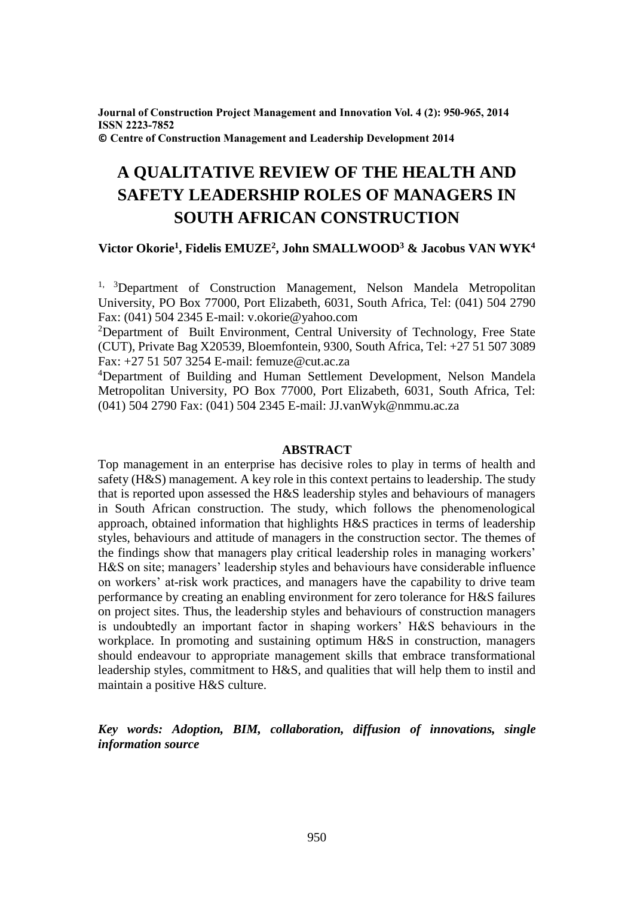**Journal of Construction Project Management and Innovation Vol. 4 (2): 950-965, 2014 ISSN 2223-7852 © Centre of Construction Management and Leadership Development 2014**

# **A QUALITATIVE REVIEW OF THE HEALTH AND SAFETY LEADERSHIP ROLES OF MANAGERS IN SOUTH AFRICAN CONSTRUCTION**

# **Victor Okorie<sup>1</sup> , Fidelis EMUZE<sup>2</sup> , John SMALLWOOD<sup>3</sup> & Jacobus VAN WYK<sup>4</sup>**

 $1, 3$ Department of Construction Management, Nelson Mandela Metropolitan University, PO Box 77000, Port Elizabeth, 6031, South Africa, Tel: (041) 504 2790 Fax: (041) 504 2345 E-mail: v.okorie@yahoo.com

<sup>2</sup>Department of Built Environment, Central University of Technology, Free State (CUT), Private Bag X20539, Bloemfontein, 9300, South Africa, Tel: +27 51 507 3089 Fax: +27 51 507 3254 E-mail: femuze@cut.ac.za

<sup>4</sup>Department of Building and Human Settlement Development, Nelson Mandela Metropolitan University, PO Box 77000, Port Elizabeth, 6031, South Africa, Tel: (041) 504 2790 Fax: (041) 504 2345 E-mail: JJ.vanWyk@nmmu.ac.za

## **ABSTRACT**

Top management in an enterprise has decisive roles to play in terms of health and safety (H&S) management. A key role in this context pertains to leadership. The study that is reported upon assessed the H&S leadership styles and behaviours of managers in South African construction. The study, which follows the phenomenological approach, obtained information that highlights H&S practices in terms of leadership styles, behaviours and attitude of managers in the construction sector. The themes of the findings show that managers play critical leadership roles in managing workers' H&S on site; managers' leadership styles and behaviours have considerable influence on workers' at-risk work practices, and managers have the capability to drive team performance by creating an enabling environment for zero tolerance for H&S failures on project sites. Thus, the leadership styles and behaviours of construction managers is undoubtedly an important factor in shaping workers' H&S behaviours in the workplace. In promoting and sustaining optimum H&S in construction, managers should endeavour to appropriate management skills that embrace transformational leadership styles, commitment to H&S, and qualities that will help them to instil and maintain a positive H&S culture.

*Key words: Adoption, BIM, collaboration, diffusion of innovations, single information source*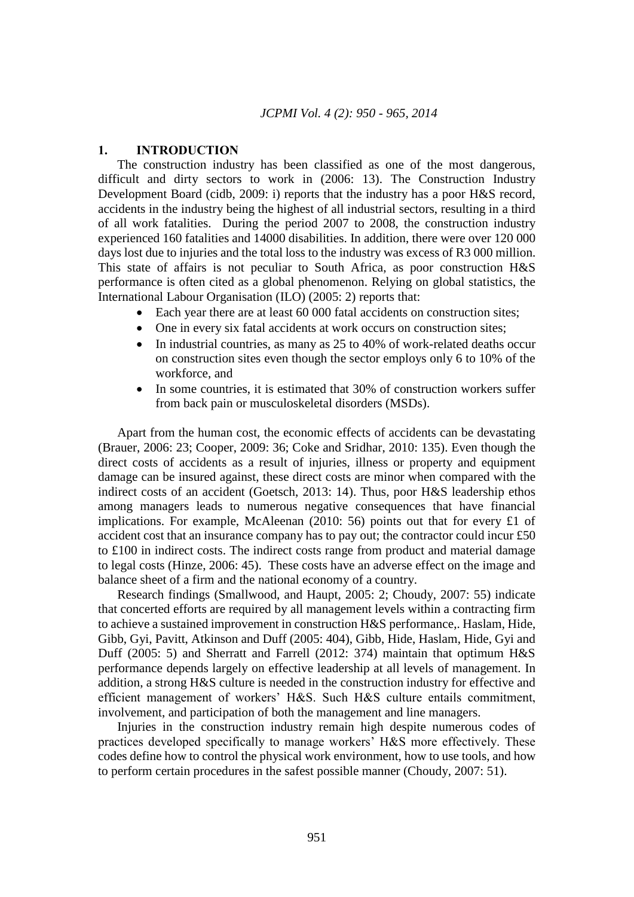## **1. INTRODUCTION**

The construction industry has been classified as one of the most dangerous, difficult and dirty sectors to work in (2006: 13). The Construction Industry Development Board (cidb, 2009: i) reports that the industry has a poor H&S record, accidents in the industry being the highest of all industrial sectors, resulting in a third of all work fatalities. During the period 2007 to 2008, the construction industry experienced 160 fatalities and 14000 disabilities. In addition, there were over 120 000 days lost due to injuries and the total loss to the industry was excess of R3 000 million. This state of affairs is not peculiar to South Africa, as poor construction H&S performance is often cited as a global phenomenon. Relying on global statistics, the International Labour Organisation (ILO) (2005: 2) reports that:

- Each year there are at least 60 000 fatal accidents on construction sites;
- One in every six fatal accidents at work occurs on construction sites;
- In industrial countries, as many as 25 to 40% of work-related deaths occur on construction sites even though the sector employs only 6 to 10% of the workforce, and
- In some countries, it is estimated that 30% of construction workers suffer from back pain or musculoskeletal disorders (MSDs).

Apart from the human cost, the economic effects of accidents can be devastating (Brauer, 2006: 23; Cooper, 2009: 36; Coke and Sridhar, 2010: 135). Even though the direct costs of accidents as a result of injuries, illness or property and equipment damage can be insured against, these direct costs are minor when compared with the indirect costs of an accident (Goetsch, 2013: 14). Thus, poor H&S leadership ethos among managers leads to numerous negative consequences that have financial implications. For example, McAleenan (2010: 56) points out that for every £1 of accident cost that an insurance company has to pay out; the contractor could incur £50 to £100 in indirect costs. The indirect costs range from product and material damage to legal costs (Hinze, 2006: 45). These costs have an adverse effect on the image and balance sheet of a firm and the national economy of a country.

Research findings (Smallwood, and Haupt, 2005: 2; Choudy, 2007: 55) indicate that concerted efforts are required by all management levels within a contracting firm to achieve a sustained improvement in construction H&S performance,. Haslam, Hide, Gibb, Gyi, Pavitt, Atkinson and Duff (2005: 404), Gibb, Hide, Haslam, Hide, Gyi and Duff (2005: 5) and Sherratt and Farrell (2012: 374) maintain that optimum H&S performance depends largely on effective leadership at all levels of management. In addition, a strong H&S culture is needed in the construction industry for effective and efficient management of workers' H&S. Such H&S culture entails commitment, involvement, and participation of both the management and line managers.

Injuries in the construction industry remain high despite numerous codes of practices developed specifically to manage workers' H&S more effectively. These codes define how to control the physical work environment, how to use tools, and how to perform certain procedures in the safest possible manner (Choudy, 2007: 51).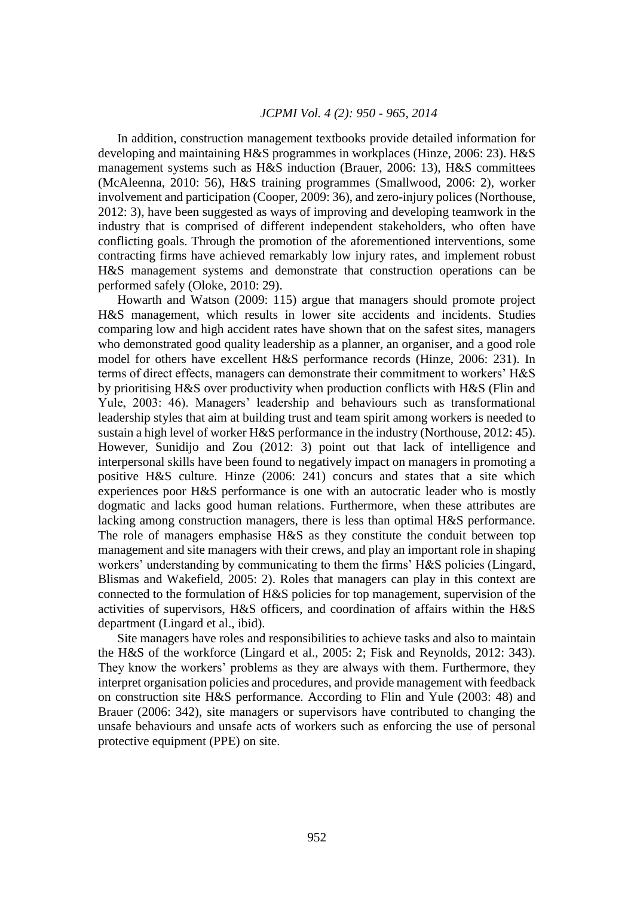In addition, construction management textbooks provide detailed information for developing and maintaining H&S programmes in workplaces (Hinze, 2006: 23). H&S management systems such as H&S induction (Brauer, 2006: 13), H&S committees (McAleenna, 2010: 56), H&S training programmes (Smallwood, 2006: 2), worker involvement and participation (Cooper, 2009: 36), and zero-injury polices (Northouse, 2012: 3), have been suggested as ways of improving and developing teamwork in the industry that is comprised of different independent stakeholders, who often have conflicting goals. Through the promotion of the aforementioned interventions, some contracting firms have achieved remarkably low injury rates, and implement robust H&S management systems and demonstrate that construction operations can be performed safely (Oloke, 2010: 29).

Howarth and Watson (2009: 115) argue that managers should promote project H&S management, which results in lower site accidents and incidents. Studies comparing low and high accident rates have shown that on the safest sites, managers who demonstrated good quality leadership as a planner, an organiser, and a good role model for others have excellent H&S performance records (Hinze, 2006: 231). In terms of direct effects, managers can demonstrate their commitment to workers' H&S by prioritising H&S over productivity when production conflicts with H&S (Flin and Yule, 2003: 46). Managers' leadership and behaviours such as transformational leadership styles that aim at building trust and team spirit among workers is needed to sustain a high level of worker H&S performance in the industry (Northouse, 2012: 45). However, Sunidijo and Zou (2012: 3) point out that lack of intelligence and interpersonal skills have been found to negatively impact on managers in promoting a positive H&S culture. Hinze (2006: 241) concurs and states that a site which experiences poor H&S performance is one with an autocratic leader who is mostly dogmatic and lacks good human relations. Furthermore, when these attributes are lacking among construction managers, there is less than optimal H&S performance. The role of managers emphasise H&S as they constitute the conduit between top management and site managers with their crews, and play an important role in shaping workers' understanding by communicating to them the firms' H&S policies (Lingard, Blismas and Wakefield, 2005: 2). Roles that managers can play in this context are connected to the formulation of H&S policies for top management, supervision of the activities of supervisors, H&S officers, and coordination of affairs within the H&S department (Lingard et al., ibid).

Site managers have roles and responsibilities to achieve tasks and also to maintain the H&S of the workforce (Lingard et al., 2005: 2; Fisk and Reynolds, 2012: 343). They know the workers' problems as they are always with them. Furthermore, they interpret organisation policies and procedures, and provide management with feedback on construction site H&S performance. According to Flin and Yule (2003: 48) and Brauer (2006: 342), site managers or supervisors have contributed to changing the unsafe behaviours and unsafe acts of workers such as enforcing the use of personal protective equipment (PPE) on site.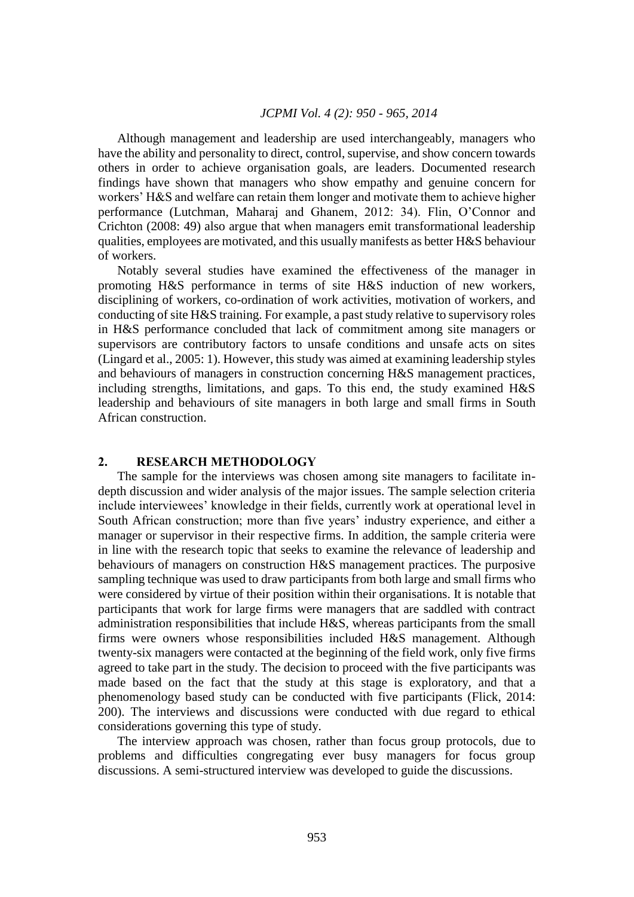Although management and leadership are used interchangeably, managers who have the ability and personality to direct, control, supervise, and show concern towards others in order to achieve organisation goals, are leaders. Documented research findings have shown that managers who show empathy and genuine concern for workers' H&S and welfare can retain them longer and motivate them to achieve higher performance (Lutchman, Maharaj and Ghanem, 2012: 34). Flin, O'Connor and Crichton (2008: 49) also argue that when managers emit transformational leadership qualities, employees are motivated, and this usually manifests as better  $H\&S$  behaviour of workers.

Notably several studies have examined the effectiveness of the manager in promoting H&S performance in terms of site H&S induction of new workers, disciplining of workers, co-ordination of work activities, motivation of workers, and conducting of site H&S training. For example, a past study relative to supervisory roles in H&S performance concluded that lack of commitment among site managers or supervisors are contributory factors to unsafe conditions and unsafe acts on sites (Lingard et al., 2005: 1). However, this study was aimed at examining leadership styles and behaviours of managers in construction concerning H&S management practices, including strengths, limitations, and gaps. To this end, the study examined H&S leadership and behaviours of site managers in both large and small firms in South African construction.

# **2. RESEARCH METHODOLOGY**

The sample for the interviews was chosen among site managers to facilitate indepth discussion and wider analysis of the major issues. The sample selection criteria include interviewees' knowledge in their fields, currently work at operational level in South African construction; more than five years' industry experience, and either a manager or supervisor in their respective firms. In addition, the sample criteria were in line with the research topic that seeks to examine the relevance of leadership and behaviours of managers on construction H&S management practices. The purposive sampling technique was used to draw participants from both large and small firms who were considered by virtue of their position within their organisations. It is notable that participants that work for large firms were managers that are saddled with contract administration responsibilities that include H&S, whereas participants from the small firms were owners whose responsibilities included H&S management. Although twenty-six managers were contacted at the beginning of the field work, only five firms agreed to take part in the study. The decision to proceed with the five participants was made based on the fact that the study at this stage is exploratory, and that a phenomenology based study can be conducted with five participants (Flick, 2014: 200). The interviews and discussions were conducted with due regard to ethical considerations governing this type of study.

The interview approach was chosen, rather than focus group protocols, due to problems and difficulties congregating ever busy managers for focus group discussions. A semi-structured interview was developed to guide the discussions.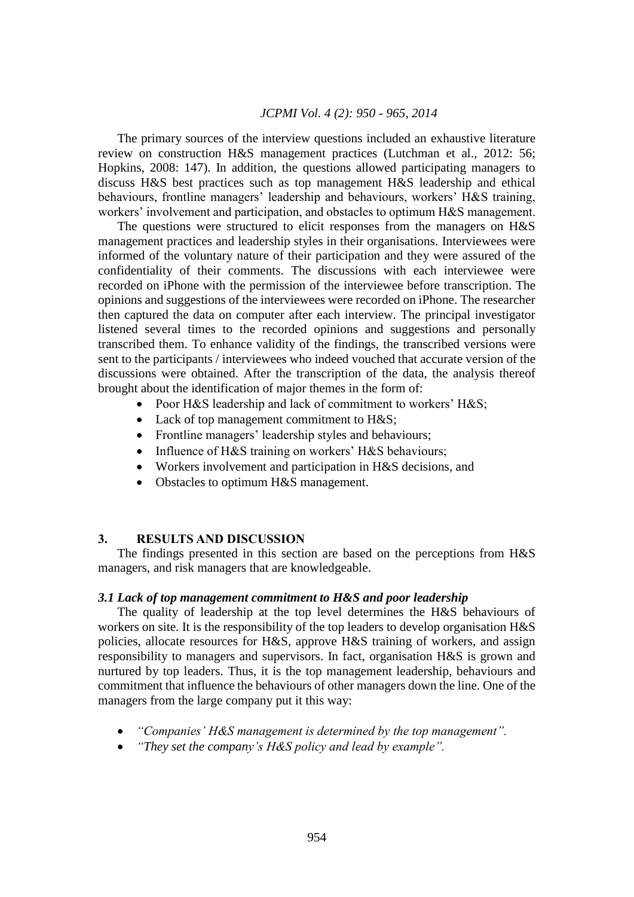The primary sources of the interview questions included an exhaustive literature review on construction H&S management practices (Lutchman et al., 2012: 56; Hopkins, 2008: 147). In addition, the questions allowed participating managers to discuss H&S best practices such as top management H&S leadership and ethical behaviours, frontline managers' leadership and behaviours, workers' H&S training, workers' involvement and participation, and obstacles to optimum H&S management.

The questions were structured to elicit responses from the managers on H&S management practices and leadership styles in their organisations. Interviewees were informed of the voluntary nature of their participation and they were assured of the confidentiality of their comments. The discussions with each interviewee were recorded on iPhone with the permission of the interviewee before transcription. The opinions and suggestions of the interviewees were recorded on iPhone. The researcher then captured the data on computer after each interview. The principal investigator listened several times to the recorded opinions and suggestions and personally transcribed them. To enhance validity of the findings, the transcribed versions were sent to the participants / interviewees who indeed vouched that accurate version of the discussions were obtained. After the transcription of the data, the analysis thereof brought about the identification of major themes in the form of:

- Poor H&S leadership and lack of commitment to workers' H&S;
- Lack of top management commitment to H&S;
- Frontline managers' leadership styles and behaviours;
- Influence of H&S training on workers' H&S behaviours;
- Workers involvement and participation in H&S decisions, and
- Obstacles to optimum H&S management.

## **3. RESULTS AND DISCUSSION**

The findings presented in this section are based on the perceptions from H&S managers, and risk managers that are knowledgeable.

#### *3.1 Lack of top management commitment to H&S and poor leadership*

The quality of leadership at the top level determines the H&S behaviours of workers on site. It is the responsibility of the top leaders to develop organisation H&S policies, allocate resources for H&S, approve H&S training of workers, and assign responsibility to managers and supervisors. In fact, organisation H&S is grown and nurtured by top leaders. Thus, it is the top management leadership, behaviours and commitment that influence the behaviours of other managers down the line. One of the managers from the large company put it this way:

- *"Companies' H&S management is determined by the top management".*
- *"They set the company's H&S policy and lead by example".*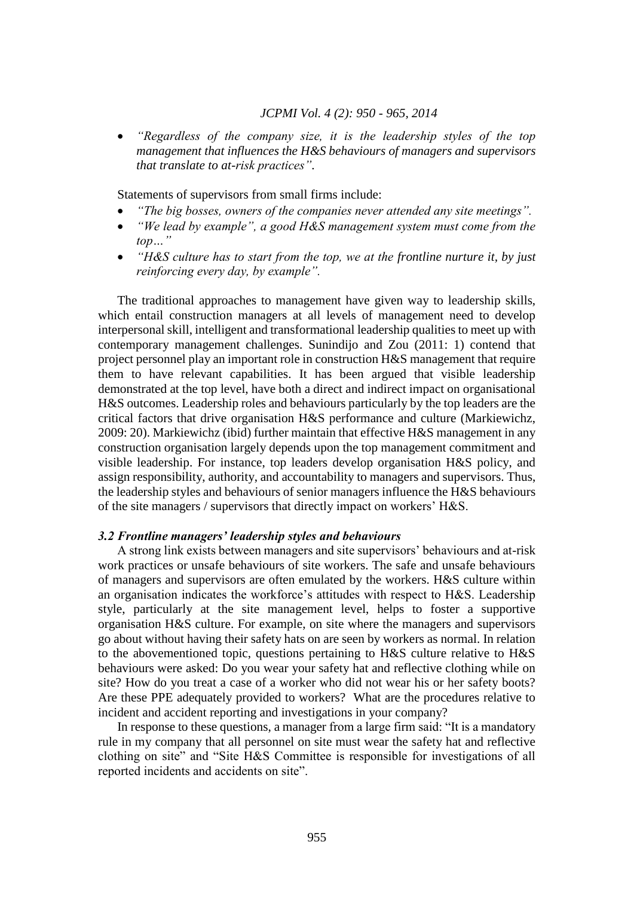*"Regardless of the company size, it is the leadership styles of the top management that influences the H&S behaviours of managers and supervisors that translate to at-risk practices".*

Statements of supervisors from small firms include:

- *"The big bosses, owners of the companies never attended any site meetings".*
- *"We lead by example", a good H&S management system must come from the top…"*
- *"H&S culture has to start from the top, we at the frontline nurture it, by just reinforcing every day, by example".*

The traditional approaches to management have given way to leadership skills, which entail construction managers at all levels of management need to develop interpersonal skill, intelligent and transformational leadership qualities to meet up with contemporary management challenges. Sunindijo and Zou (2011: 1) contend that project personnel play an important role in construction H&S management that require them to have relevant capabilities. It has been argued that visible leadership demonstrated at the top level, have both a direct and indirect impact on organisational H&S outcomes. Leadership roles and behaviours particularly by the top leaders are the critical factors that drive organisation H&S performance and culture (Markiewichz, 2009: 20). Markiewichz (ibid) further maintain that effective H&S management in any construction organisation largely depends upon the top management commitment and visible leadership. For instance, top leaders develop organisation H&S policy, and assign responsibility, authority, and accountability to managers and supervisors. Thus, the leadership styles and behaviours of senior managers influence the H&S behaviours of the site managers / supervisors that directly impact on workers' H&S.

## *3.2 Frontline managers' leadership styles and behaviours*

A strong link exists between managers and site supervisors' behaviours and at-risk work practices or unsafe behaviours of site workers. The safe and unsafe behaviours of managers and supervisors are often emulated by the workers. H&S culture within an organisation indicates the workforce's attitudes with respect to H&S. Leadership style, particularly at the site management level, helps to foster a supportive organisation H&S culture. For example, on site where the managers and supervisors go about without having their safety hats on are seen by workers as normal. In relation to the abovementioned topic, questions pertaining to H&S culture relative to H&S behaviours were asked: Do you wear your safety hat and reflective clothing while on site? How do you treat a case of a worker who did not wear his or her safety boots? Are these PPE adequately provided to workers? What are the procedures relative to incident and accident reporting and investigations in your company?

In response to these questions, a manager from a large firm said: "It is a mandatory rule in my company that all personnel on site must wear the safety hat and reflective clothing on site" and "Site H&S Committee is responsible for investigations of all reported incidents and accidents on site".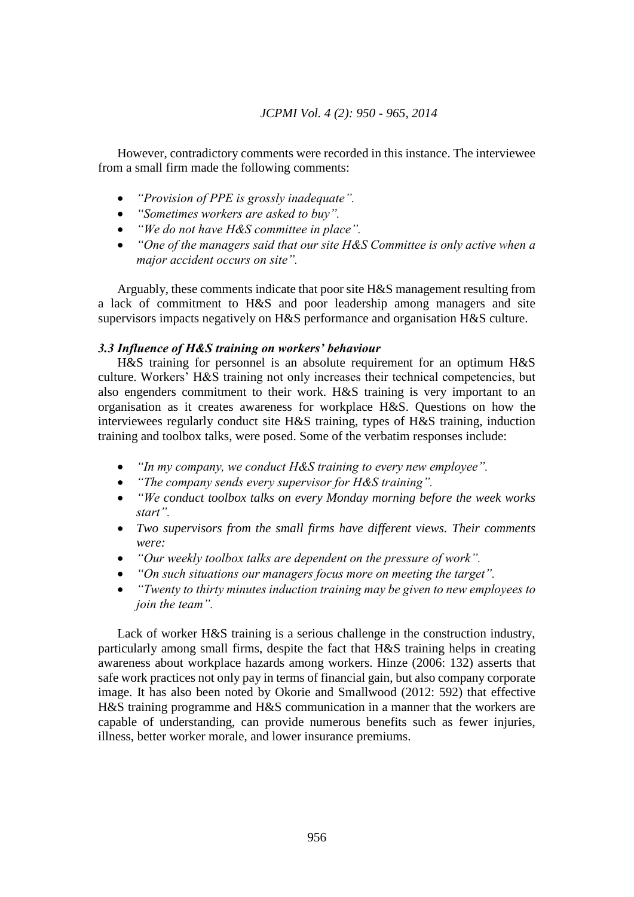However, contradictory comments were recorded in this instance. The interviewee from a small firm made the following comments:

- *"Provision of PPE is grossly inadequate".*
- *"Sometimes workers are asked to buy".*
- *"We do not have H&S committee in place".*
- *"One of the managers said that our site H&S Committee is only active when a major accident occurs on site".*

Arguably, these comments indicate that poor site H&S management resulting from a lack of commitment to H&S and poor leadership among managers and site supervisors impacts negatively on H&S performance and organisation H&S culture.

## *3.3 Influence of H&S training on workers' behaviour*

H&S training for personnel is an absolute requirement for an optimum H&S culture. Workers' H&S training not only increases their technical competencies, but also engenders commitment to their work. H&S training is very important to an organisation as it creates awareness for workplace H&S. Questions on how the interviewees regularly conduct site H&S training, types of H&S training, induction training and toolbox talks, were posed. Some of the verbatim responses include:

- *"In my company, we conduct H&S training to every new employee".*
- *"The company sends every supervisor for H&S training".*
- *"We conduct toolbox talks on every Monday morning before the week works start".*
- *Two supervisors from the small firms have different views. Their comments were:*
- *"Our weekly toolbox talks are dependent on the pressure of work".*
- *"On such situations our managers focus more on meeting the target".*
- *"Twenty to thirty minutes induction training may be given to new employees to join the team".*

Lack of worker H&S training is a serious challenge in the construction industry, particularly among small firms, despite the fact that H&S training helps in creating awareness about workplace hazards among workers. Hinze (2006: 132) asserts that safe work practices not only pay in terms of financial gain, but also company corporate image. It has also been noted by Okorie and Smallwood (2012: 592) that effective H&S training programme and H&S communication in a manner that the workers are capable of understanding, can provide numerous benefits such as fewer injuries, illness, better worker morale, and lower insurance premiums.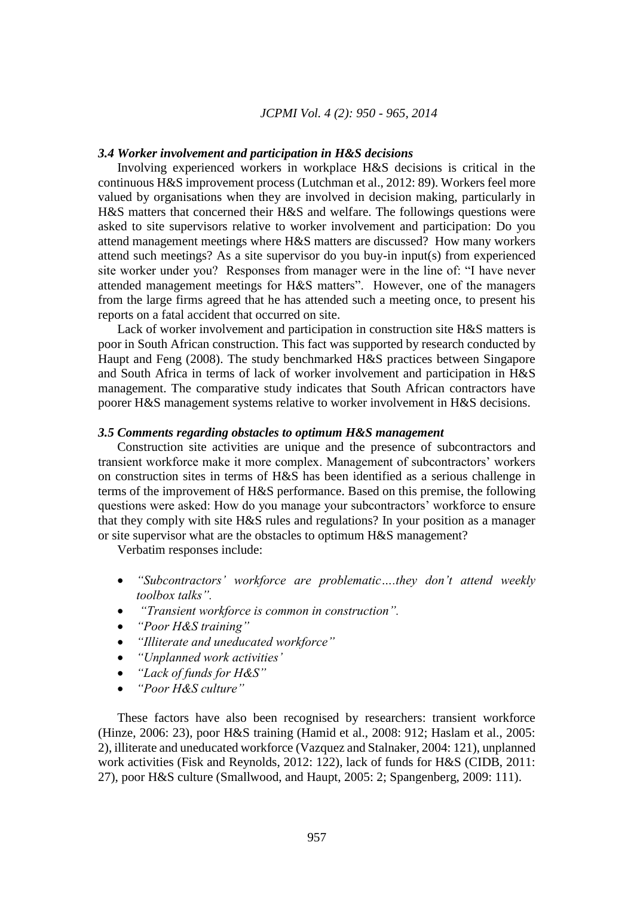## *3.4 Worker involvement and participation in H&S decisions*

Involving experienced workers in workplace H&S decisions is critical in the continuous H&S improvement process (Lutchman et al., 2012: 89). Workers feel more valued by organisations when they are involved in decision making, particularly in H&S matters that concerned their H&S and welfare. The followings questions were asked to site supervisors relative to worker involvement and participation: Do you attend management meetings where H&S matters are discussed? How many workers attend such meetings? As a site supervisor do you buy-in input(s) from experienced site worker under you? Responses from manager were in the line of: "I have never attended management meetings for H&S matters". However, one of the managers from the large firms agreed that he has attended such a meeting once, to present his reports on a fatal accident that occurred on site.

Lack of worker involvement and participation in construction site H&S matters is poor in South African construction. This fact was supported by research conducted by Haupt and Feng (2008). The study benchmarked H&S practices between Singapore and South Africa in terms of lack of worker involvement and participation in H&S management. The comparative study indicates that South African contractors have poorer H&S management systems relative to worker involvement in H&S decisions.

## *3.5 Comments regarding obstacles to optimum H&S management*

Construction site activities are unique and the presence of subcontractors and transient workforce make it more complex. Management of subcontractors' workers on construction sites in terms of H&S has been identified as a serious challenge in terms of the improvement of H&S performance. Based on this premise, the following questions were asked: How do you manage your subcontractors' workforce to ensure that they comply with site H&S rules and regulations? In your position as a manager or site supervisor what are the obstacles to optimum H&S management?

Verbatim responses include:

- *"Subcontractors' workforce are problematic….they don't attend weekly toolbox talks".*
- *"Transient workforce is common in construction".*
- *"Poor H&S training"*
- *"Illiterate and uneducated workforce"*
- *"Unplanned work activities'*
- *"Lack of funds for H&S"*
- *"Poor H&S culture"*

These factors have also been recognised by researchers: transient workforce (Hinze, 2006: 23), poor H&S training (Hamid et al., 2008: 912; Haslam et al., 2005: 2), illiterate and uneducated workforce (Vazquez and Stalnaker, 2004: 121), unplanned work activities (Fisk and Reynolds, 2012: 122), lack of funds for H&S (CIDB, 2011: 27), poor H&S culture (Smallwood, and Haupt, 2005: 2; Spangenberg, 2009: 111).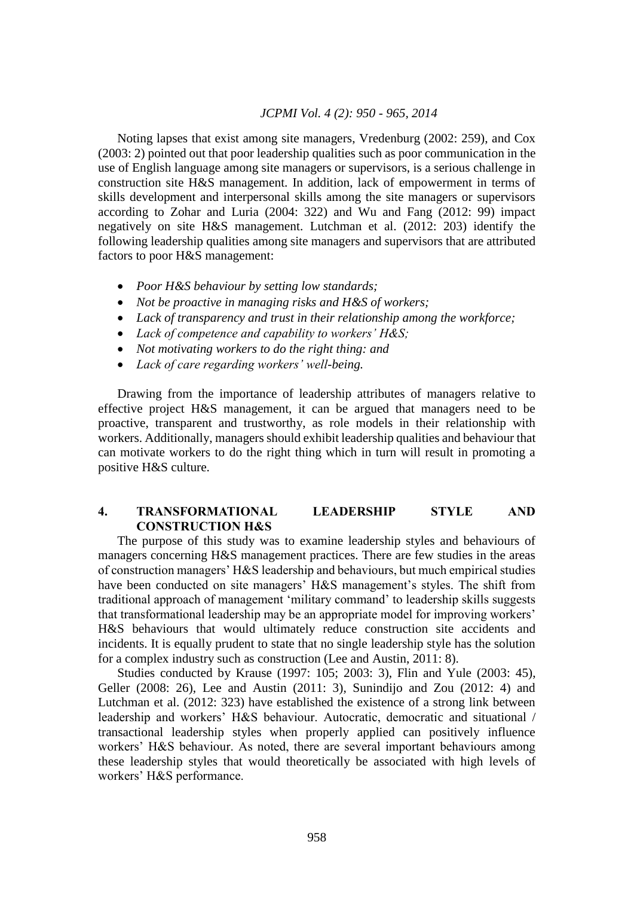Noting lapses that exist among site managers, Vredenburg (2002: 259), and Cox (2003: 2) pointed out that poor leadership qualities such as poor communication in the use of English language among site managers or supervisors, is a serious challenge in construction site H&S management. In addition, lack of empowerment in terms of skills development and interpersonal skills among the site managers or supervisors according to Zohar and Luria (2004: 322) and Wu and Fang (2012: 99) impact negatively on site H&S management. Lutchman et al. (2012: 203) identify the following leadership qualities among site managers and supervisors that are attributed factors to poor H&S management:

- *Poor H&S behaviour by setting low standards;*
- *Not be proactive in managing risks and H&S of workers;*
- *Lack of transparency and trust in their relationship among the workforce;*
- *Lack of competence and capability to workers' H&S;*
- *Not motivating workers to do the right thing: and*
- *Lack of care regarding workers' well-being.*

Drawing from the importance of leadership attributes of managers relative to effective project H&S management, it can be argued that managers need to be proactive, transparent and trustworthy, as role models in their relationship with workers. Additionally, managers should exhibit leadership qualities and behaviour that can motivate workers to do the right thing which in turn will result in promoting a positive H&S culture.

# **4. TRANSFORMATIONAL LEADERSHIP STYLE AND CONSTRUCTION H&S**

The purpose of this study was to examine leadership styles and behaviours of managers concerning H&S management practices. There are few studies in the areas of construction managers' H&S leadership and behaviours, but much empirical studies have been conducted on site managers' H&S management's styles. The shift from traditional approach of management 'military command' to leadership skills suggests that transformational leadership may be an appropriate model for improving workers' H&S behaviours that would ultimately reduce construction site accidents and incidents. It is equally prudent to state that no single leadership style has the solution for a complex industry such as construction (Lee and Austin, 2011: 8).

Studies conducted by Krause (1997: 105; 2003: 3), Flin and Yule (2003: 45), Geller (2008: 26), Lee and Austin (2011: 3), Sunindijo and Zou (2012: 4) and Lutchman et al. (2012: 323) have established the existence of a strong link between leadership and workers' H&S behaviour. Autocratic, democratic and situational / transactional leadership styles when properly applied can positively influence workers' H&S behaviour. As noted, there are several important behaviours among these leadership styles that would theoretically be associated with high levels of workers' H&S performance.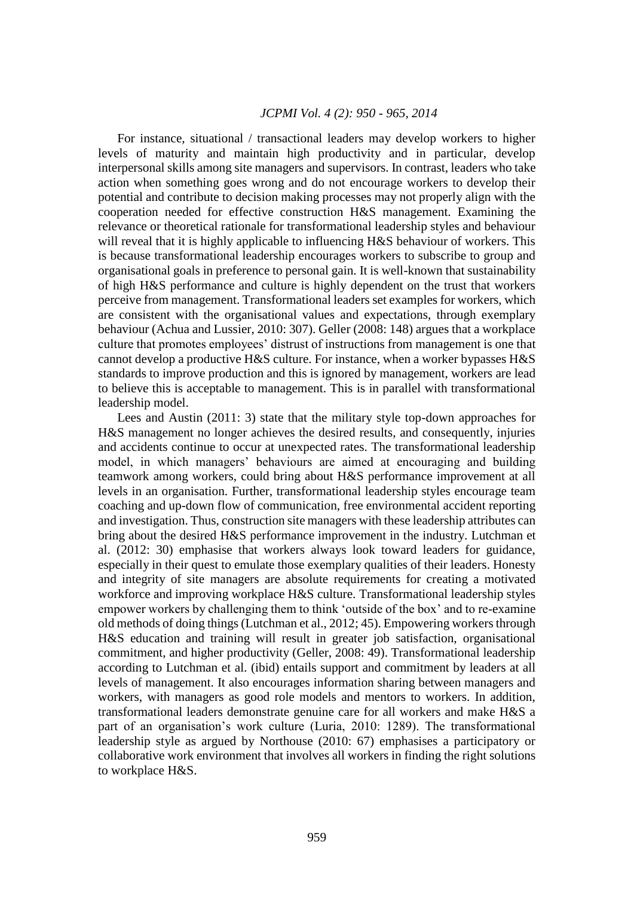For instance, situational / transactional leaders may develop workers to higher levels of maturity and maintain high productivity and in particular, develop interpersonal skills among site managers and supervisors. In contrast, leaders who take action when something goes wrong and do not encourage workers to develop their potential and contribute to decision making processes may not properly align with the cooperation needed for effective construction H&S management. Examining the relevance or theoretical rationale for transformational leadership styles and behaviour will reveal that it is highly applicable to influencing H&S behaviour of workers. This is because transformational leadership encourages workers to subscribe to group and organisational goals in preference to personal gain. It is well-known that sustainability of high H&S performance and culture is highly dependent on the trust that workers perceive from management. Transformational leaders set examples for workers, which are consistent with the organisational values and expectations, through exemplary behaviour (Achua and Lussier, 2010: 307). Geller (2008: 148) argues that a workplace culture that promotes employees' distrust of instructions from management is one that cannot develop a productive H&S culture. For instance, when a worker bypasses H&S standards to improve production and this is ignored by management, workers are lead to believe this is acceptable to management. This is in parallel with transformational leadership model.

Lees and Austin (2011: 3) state that the military style top-down approaches for H&S management no longer achieves the desired results, and consequently, injuries and accidents continue to occur at unexpected rates. The transformational leadership model, in which managers' behaviours are aimed at encouraging and building teamwork among workers, could bring about H&S performance improvement at all levels in an organisation. Further, transformational leadership styles encourage team coaching and up-down flow of communication, free environmental accident reporting and investigation. Thus, construction site managers with these leadership attributes can bring about the desired H&S performance improvement in the industry. Lutchman et al. (2012: 30) emphasise that workers always look toward leaders for guidance, especially in their quest to emulate those exemplary qualities of their leaders. Honesty and integrity of site managers are absolute requirements for creating a motivated workforce and improving workplace H&S culture. Transformational leadership styles empower workers by challenging them to think 'outside of the box' and to re-examine old methods of doing things (Lutchman et al., 2012; 45). Empowering workers through H&S education and training will result in greater job satisfaction, organisational commitment, and higher productivity (Geller, 2008: 49). Transformational leadership according to Lutchman et al. (ibid) entails support and commitment by leaders at all levels of management. It also encourages information sharing between managers and workers, with managers as good role models and mentors to workers. In addition, transformational leaders demonstrate genuine care for all workers and make H&S a part of an organisation's work culture (Luria, 2010: 1289). The transformational leadership style as argued by Northouse (2010: 67) emphasises a participatory or collaborative work environment that involves all workers in finding the right solutions to workplace H&S.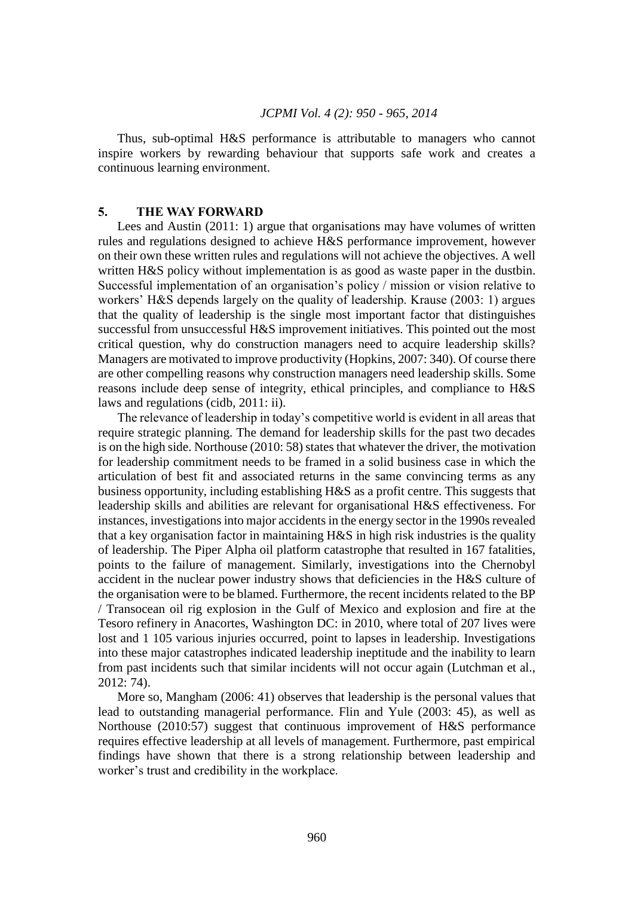Thus, sub-optimal H&S performance is attributable to managers who cannot inspire workers by rewarding behaviour that supports safe work and creates a continuous learning environment.

#### **5. THE WAY FORWARD**

Lees and Austin (2011: 1) argue that organisations may have volumes of written rules and regulations designed to achieve H&S performance improvement, however on their own these written rules and regulations will not achieve the objectives. A well written H&S policy without implementation is as good as waste paper in the dustbin. Successful implementation of an organisation's policy / mission or vision relative to workers' H&S depends largely on the quality of leadership. Krause (2003: 1) argues that the quality of leadership is the single most important factor that distinguishes successful from unsuccessful H&S improvement initiatives. This pointed out the most critical question, why do construction managers need to acquire leadership skills? Managers are motivated to improve productivity (Hopkins, 2007: 340). Of course there are other compelling reasons why construction managers need leadership skills. Some reasons include deep sense of integrity, ethical principles, and compliance to H&S laws and regulations (cidb, 2011: ii).

The relevance of leadership in today's competitive world is evident in all areas that require strategic planning. The demand for leadership skills for the past two decades is on the high side. Northouse (2010: 58) states that whatever the driver, the motivation for leadership commitment needs to be framed in a solid business case in which the articulation of best fit and associated returns in the same convincing terms as any business opportunity, including establishing H&S as a profit centre. This suggests that leadership skills and abilities are relevant for organisational H&S effectiveness. For instances, investigations into major accidents in the energy sector in the 1990s revealed that a key organisation factor in maintaining H&S in high risk industries is the quality of leadership. The Piper Alpha oil platform catastrophe that resulted in 167 fatalities, points to the failure of management. Similarly, investigations into the Chernobyl accident in the nuclear power industry shows that deficiencies in the H&S culture of the organisation were to be blamed. Furthermore, the recent incidents related to the BP / Transocean oil rig explosion in the Gulf of Mexico and explosion and fire at the Tesoro refinery in Anacortes, Washington DC: in 2010, where total of 207 lives were lost and 1 105 various injuries occurred, point to lapses in leadership. Investigations into these major catastrophes indicated leadership ineptitude and the inability to learn from past incidents such that similar incidents will not occur again (Lutchman et al., 2012: 74).

More so, Mangham (2006: 41) observes that leadership is the personal values that lead to outstanding managerial performance. Flin and Yule (2003: 45), as well as Northouse (2010:57) suggest that continuous improvement of H&S performance requires effective leadership at all levels of management. Furthermore, past empirical findings have shown that there is a strong relationship between leadership and worker's trust and credibility in the workplace.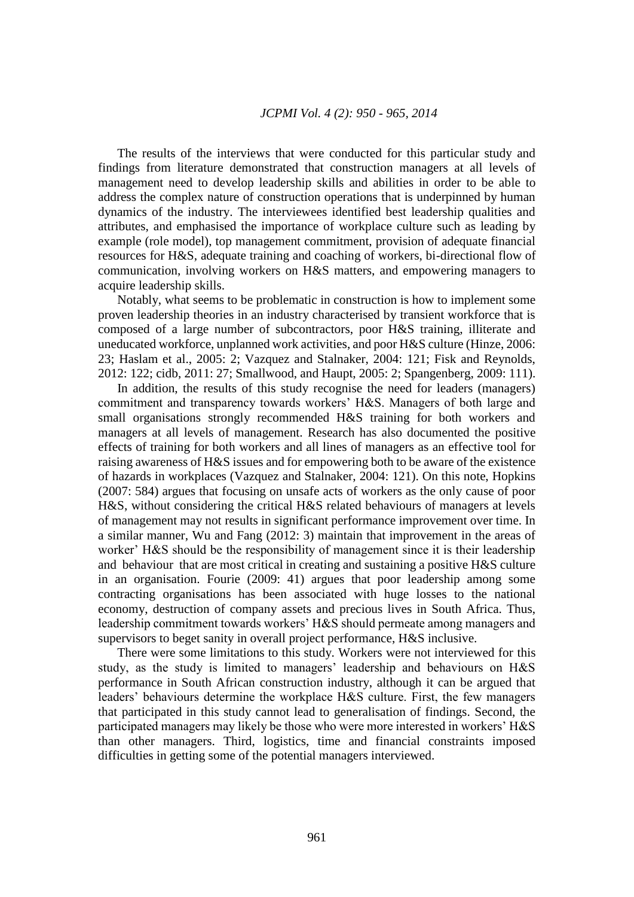The results of the interviews that were conducted for this particular study and findings from literature demonstrated that construction managers at all levels of management need to develop leadership skills and abilities in order to be able to address the complex nature of construction operations that is underpinned by human dynamics of the industry. The interviewees identified best leadership qualities and attributes, and emphasised the importance of workplace culture such as leading by example (role model), top management commitment, provision of adequate financial resources for H&S, adequate training and coaching of workers, bi-directional flow of communication, involving workers on H&S matters, and empowering managers to acquire leadership skills.

Notably, what seems to be problematic in construction is how to implement some proven leadership theories in an industry characterised by transient workforce that is composed of a large number of subcontractors, poor H&S training, illiterate and uneducated workforce, unplanned work activities, and poor H&S culture (Hinze, 2006: 23; Haslam et al., 2005: 2; Vazquez and Stalnaker, 2004: 121; Fisk and Reynolds, 2012: 122; cidb, 2011: 27; Smallwood, and Haupt, 2005: 2; Spangenberg, 2009: 111).

In addition, the results of this study recognise the need for leaders (managers) commitment and transparency towards workers' H&S. Managers of both large and small organisations strongly recommended H&S training for both workers and managers at all levels of management. Research has also documented the positive effects of training for both workers and all lines of managers as an effective tool for raising awareness of H&S issues and for empowering both to be aware of the existence of hazards in workplaces (Vazquez and Stalnaker, 2004: 121). On this note, Hopkins (2007: 584) argues that focusing on unsafe acts of workers as the only cause of poor H&S, without considering the critical H&S related behaviours of managers at levels of management may not results in significant performance improvement over time. In a similar manner, Wu and Fang (2012: 3) maintain that improvement in the areas of worker' H&S should be the responsibility of management since it is their leadership and behaviour that are most critical in creating and sustaining a positive H&S culture in an organisation. Fourie (2009: 41) argues that poor leadership among some contracting organisations has been associated with huge losses to the national economy, destruction of company assets and precious lives in South Africa. Thus, leadership commitment towards workers' H&S should permeate among managers and supervisors to beget sanity in overall project performance, H&S inclusive.

There were some limitations to this study. Workers were not interviewed for this study, as the study is limited to managers' leadership and behaviours on H&S performance in South African construction industry, although it can be argued that leaders' behaviours determine the workplace H&S culture. First, the few managers that participated in this study cannot lead to generalisation of findings. Second, the participated managers may likely be those who were more interested in workers' H&S than other managers. Third, logistics, time and financial constraints imposed difficulties in getting some of the potential managers interviewed.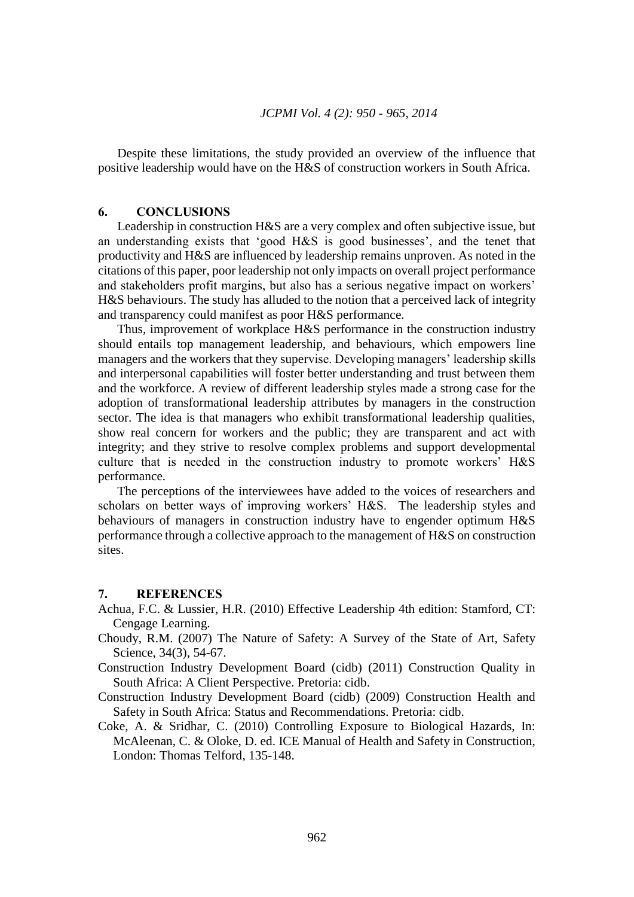Despite these limitations, the study provided an overview of the influence that positive leadership would have on the H&S of construction workers in South Africa.

#### **6. CONCLUSIONS**

Leadership in construction H&S are a very complex and often subjective issue, but an understanding exists that 'good H&S is good businesses', and the tenet that productivity and H&S are influenced by leadership remains unproven. As noted in the citations of this paper, poor leadership not only impacts on overall project performance and stakeholders profit margins, but also has a serious negative impact on workers' H&S behaviours. The study has alluded to the notion that a perceived lack of integrity and transparency could manifest as poor H&S performance.

Thus, improvement of workplace H&S performance in the construction industry should entails top management leadership, and behaviours, which empowers line managers and the workers that they supervise. Developing managers' leadership skills and interpersonal capabilities will foster better understanding and trust between them and the workforce. A review of different leadership styles made a strong case for the adoption of transformational leadership attributes by managers in the construction sector. The idea is that managers who exhibit transformational leadership qualities, show real concern for workers and the public; they are transparent and act with integrity; and they strive to resolve complex problems and support developmental culture that is needed in the construction industry to promote workers' H&S performance.

The perceptions of the interviewees have added to the voices of researchers and scholars on better ways of improving workers' H&S. The leadership styles and behaviours of managers in construction industry have to engender optimum H&S performance through a collective approach to the management of H&S on construction sites.

## **7. REFERENCES**

- Achua, F.C. & Lussier, H.R. (2010) Effective Leadership 4th edition: Stamford, CT: Cengage Learning.
- Choudy, R.M. (2007) The Nature of Safety: A Survey of the State of Art, Safety Science, 34(3), 54-67.

Construction Industry Development Board (cidb) (2011) Construction Quality in South Africa: A Client Perspective. Pretoria: cidb.

- Construction Industry Development Board (cidb) (2009) Construction Health and Safety in South Africa: Status and Recommendations. Pretoria: cidb.
- Coke, A. & Sridhar, C. (2010) Controlling Exposure to Biological Hazards, In: McAleenan, C. & Oloke, D. ed. ICE Manual of Health and Safety in Construction, London: Thomas Telford, 135-148.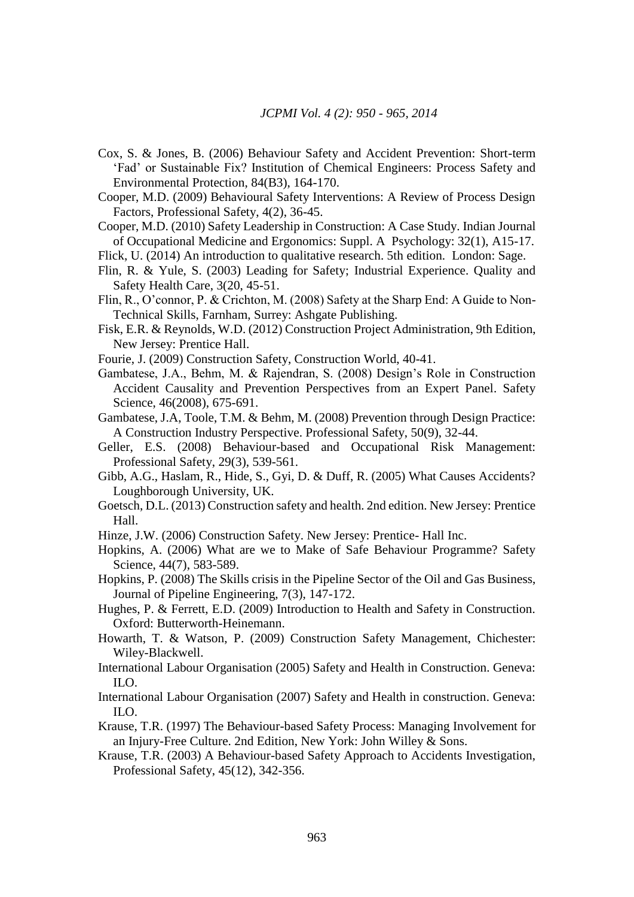- Cox, S. & Jones, B. (2006) Behaviour Safety and Accident Prevention: Short-term 'Fad' or Sustainable Fix? Institution of Chemical Engineers: Process Safety and Environmental Protection, 84(B3), 164-170.
- Cooper, M.D. (2009) Behavioural Safety Interventions: A Review of Process Design Factors, Professional Safety, 4(2), 36-45.

Cooper, M.D. (2010) Safety Leadership in Construction: A Case Study. Indian Journal of Occupational Medicine and Ergonomics: Suppl. A Psychology: 32(1), A15-17.

Flick, U. (2014) An introduction to qualitative research. 5th edition. London: Sage.

- Flin, R. & Yule, S. (2003) Leading for Safety; Industrial Experience. Quality and Safety Health Care, 3(20, 45-51.
- Flin, R., O'connor, P. & Crichton, M. (2008) Safety at the Sharp End: A Guide to Non-Technical Skills, Farnham, Surrey: Ashgate Publishing.
- Fisk, E.R. & Reynolds, W.D. (2012) Construction Project Administration, 9th Edition, New Jersey: Prentice Hall.
- Fourie, J. (2009) Construction Safety, Construction World, 40-41.
- Gambatese, J.A., Behm, M. & Rajendran, S. (2008) Design's Role in Construction Accident Causality and Prevention Perspectives from an Expert Panel. Safety Science, 46(2008), 675-691.
- Gambatese, J.A, Toole, T.M. & Behm, M. (2008) Prevention through Design Practice: A Construction Industry Perspective. Professional Safety, 50(9), 32-44.
- Geller, E.S. (2008) Behaviour-based and Occupational Risk Management: Professional Safety, 29(3), 539-561.
- Gibb, A.G., Haslam, R., Hide, S., Gyi, D. & Duff, R. (2005) What Causes Accidents? Loughborough University, UK.
- Goetsch, D.L. (2013) Construction safety and health. 2nd edition. New Jersey: Prentice Hall.
- Hinze, J.W. (2006) Construction Safety. New Jersey: Prentice- Hall Inc.
- Hopkins, A. (2006) What are we to Make of Safe Behaviour Programme? Safety Science, 44(7), 583-589.
- Hopkins, P. (2008) The Skills crisis in the Pipeline Sector of the Oil and Gas Business, Journal of Pipeline Engineering, 7(3), 147-172.
- Hughes, P. & Ferrett, E.D. (2009) Introduction to Health and Safety in Construction. Oxford: Butterworth-Heinemann.
- Howarth, T. & Watson, P. (2009) Construction Safety Management, Chichester: Wiley-Blackwell.
- International Labour Organisation (2005) Safety and Health in Construction. Geneva: ILO.
- International Labour Organisation (2007) Safety and Health in construction. Geneva:  $\overline{L}$ .
- Krause, T.R. (1997) The Behaviour-based Safety Process: Managing Involvement for an Injury-Free Culture. 2nd Edition, New York: John Willey & Sons.
- Krause, T.R. (2003) A Behaviour-based Safety Approach to Accidents Investigation, Professional Safety, 45(12), 342-356.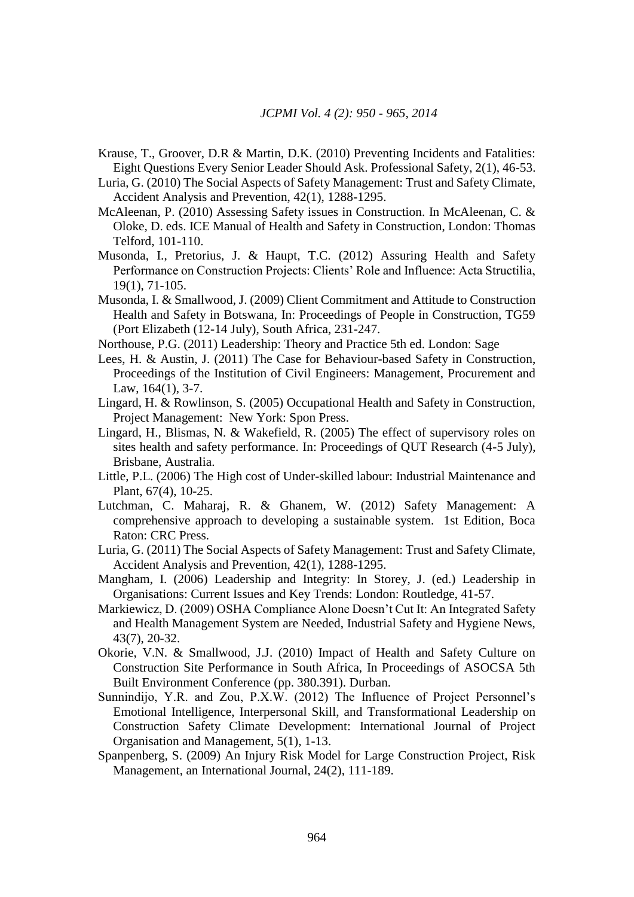- Krause, T., Groover, D.R & Martin, D.K. (2010) Preventing Incidents and Fatalities: Eight Questions Every Senior Leader Should Ask. Professional Safety, 2(1), 46-53.
- Luria, G. (2010) The Social Aspects of Safety Management: Trust and Safety Climate, Accident Analysis and Prevention, 42(1), 1288-1295.
- McAleenan, P. (2010) Assessing Safety issues in Construction. In McAleenan, C. & Oloke, D. eds. ICE Manual of Health and Safety in Construction, London: Thomas Telford, 101-110.
- Musonda, I., Pretorius, J. & Haupt, T.C. (2012) Assuring Health and Safety Performance on Construction Projects: Clients' Role and Influence: Acta Structilia, 19(1), 71-105.
- Musonda, I. & Smallwood, J. (2009) Client Commitment and Attitude to Construction Health and Safety in Botswana, In: Proceedings of People in Construction, TG59 (Port Elizabeth (12-14 July), South Africa, 231-247.
- Northouse, P.G. (2011) Leadership: Theory and Practice 5th ed. London: Sage
- Lees, H. & Austin, J. (2011) The Case for Behaviour-based Safety in Construction, Proceedings of the Institution of Civil Engineers: Management, Procurement and Law, 164(1), 3-7.
- Lingard, H. & Rowlinson, S. (2005) Occupational Health and Safety in Construction, Project Management: New York: Spon Press.
- Lingard, H., Blismas, N. & Wakefield, R. (2005) The effect of supervisory roles on sites health and safety performance. In: Proceedings of QUT Research (4-5 July), Brisbane, Australia.
- Little, P.L. (2006) The High cost of Under-skilled labour: Industrial Maintenance and Plant, 67(4), 10-25.
- Lutchman, C. Maharaj, R. & Ghanem, W. (2012) Safety Management: A comprehensive approach to developing a sustainable system. 1st Edition, Boca Raton: CRC Press.
- Luria, G. (2011) The Social Aspects of Safety Management: Trust and Safety Climate, Accident Analysis and Prevention, 42(1), 1288-1295.
- Mangham, I. (2006) Leadership and Integrity: In Storey, J. (ed.) Leadership in Organisations: Current Issues and Key Trends: London: Routledge, 41-57.
- Markiewicz, D. (2009) OSHA Compliance Alone Doesn't Cut It: An Integrated Safety and Health Management System are Needed, Industrial Safety and Hygiene News, 43(7), 20-32.
- Okorie, V.N. & Smallwood, J.J. (2010) Impact of Health and Safety Culture on Construction Site Performance in South Africa, In Proceedings of ASOCSA 5th Built Environment Conference (pp. 380.391). Durban.
- Sunnindijo, Y.R. and Zou, P.X.W. (2012) The Influence of Project Personnel's Emotional Intelligence, Interpersonal Skill, and Transformational Leadership on Construction Safety Climate Development: International Journal of Project Organisation and Management, 5(1), 1-13.
- Spanpenberg, S. (2009) An Injury Risk Model for Large Construction Project, Risk Management, an International Journal, 24(2), 111-189.